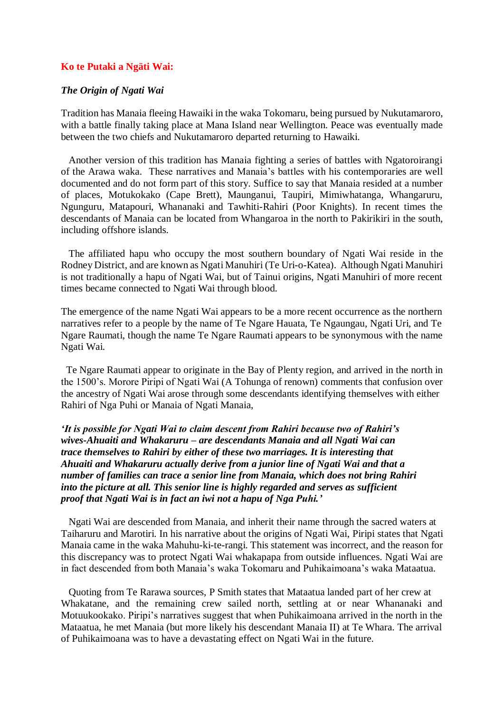### **Ko te Putaki a Ngäti Wai:**

#### *The Origin of Ngati Wai*

Tradition has Manaia fleeing Hawaiki in the waka Tokomaru, being pursued by Nukutamaroro, with a battle finally taking place at Mana Island near Wellington. Peace was eventually made between the two chiefs and Nukutamaroro departed returning to Hawaiki.

 Another version of this tradition has Manaia fighting a series of battles with Ngatoroirangi of the Arawa waka. These narratives and Manaia's battles with his contemporaries are well documented and do not form part of this story. Suffice to say that Manaia resided at a number of places, Motukokako (Cape Brett), Maunganui, Taupiri, Mimiwhatanga, Whangaruru, Ngunguru, Matapouri, Whananaki and Tawhiti-Rahiri (Poor Knights). In recent times the descendants of Manaia can be located from Whangaroa in the north to Pakirikiri in the south, including offshore islands.

 The affiliated hapu who occupy the most southern boundary of Ngati Wai reside in the Rodney District, and are known as Ngati Manuhiri (Te Uri-o-Katea). Although Ngati Manuhiri is not traditionally a hapu of Ngati Wai, but of Tainui origins, Ngati Manuhiri of more recent times became connected to Ngati Wai through blood.

The emergence of the name Ngati Wai appears to be a more recent occurrence as the northern narratives refer to a people by the name of Te Ngare Hauata, Te Ngaungau, Ngati Uri, and Te Ngare Raumati, though the name Te Ngare Raumati appears to be synonymous with the name Ngati Wai.

 Te Ngare Raumati appear to originate in the Bay of Plenty region, and arrived in the north in the 1500's. Morore Piripi of Ngati Wai (A Tohunga of renown) comments that confusion over the ancestry of Ngati Wai arose through some descendants identifying themselves with either Rahiri of Nga Puhi or Manaia of Ngati Manaia,

*'It is possible for Ngati Wai to claim descent from Rahiri because two of Rahiri's wives-Ahuaiti and Whakaruru – are descendants Manaia and all Ngati Wai can trace themselves to Rahiri by either of these two marriages. It is interesting that Ahuaiti and Whakaruru actually derive from a junior line of Ngati Wai and that a number of families can trace a senior line from Manaia, which does not bring Rahiri into the picture at all. This senior line is highly regarded and serves as sufficient proof that Ngati Wai is in fact an iwi not a hapu of Nga Puhi.'* 

 Ngati Wai are descended from Manaia, and inherit their name through the sacred waters at Taiharuru and Marotiri. In his narrative about the origins of Ngati Wai, Piripi states that Ngati Manaia came in the waka Mahuhu-ki-te-rangi. This statement was incorrect, and the reason for this discrepancy was to protect Ngati Wai whakapapa from outside influences. Ngati Wai are in fact descended from both Manaia's waka Tokomaru and Puhikaimoana's waka Mataatua.

 Quoting from Te Rarawa sources, P Smith states that Mataatua landed part of her crew at Whakatane, and the remaining crew sailed north, settling at or near Whananaki and Motuukookako. Piripi's narratives suggest that when Puhikaimoana arrived in the north in the Mataatua, he met Manaia (but more likely his descendant Manaia II) at Te Whara. The arrival of Puhikaimoana was to have a devastating effect on Ngati Wai in the future.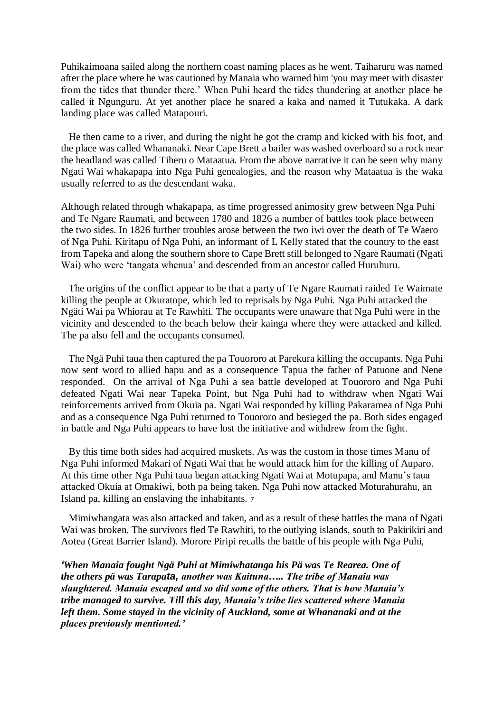Puhikaimoana sailed along the northern coast naming places as he went. Taiharuru was named after the place where he was cautioned by Manaia who warned him 'you may meet with disaster from the tides that thunder there.' When Puhi heard the tides thundering at another place he called it Ngunguru. At yet another place he snared a kaka and named it Tutukaka. A dark landing place was called Matapouri.

 He then came to a river, and during the night he got the cramp and kicked with his foot, and the place was called Whananaki. Near Cape Brett a bailer was washed overboard so a rock near the headland was called Tiheru o Mataatua. From the above narrative it can be seen why many Ngati Wai whakapapa into Nga Puhi genealogies, and the reason why Mataatua is the waka usually referred to as the descendant waka.

Although related through whakapapa, as time progressed animosity grew between Nga Puhi and Te Ngare Raumati, and between 1780 and 1826 a number of battles took place between the two sides. In 1826 further troubles arose between the two iwi over the death of Te Waero of Nga Puhi. Kiritapu of Nga Puhi, an informant of L Kelly stated that the country to the east from Tapeka and along the southern shore to Cape Brett still belonged to Ngare Raumati (Ngati Wai) who were 'tangata whenua' and descended from an ancestor called Huruhuru.

 The origins of the conflict appear to be that a party of Te Ngare Raumati raided Te Waimate killing the people at Okuratope, which led to reprisals by Nga Puhi. Nga Puhi attacked the Ngäti Wai pa Whiorau at Te Rawhiti. The occupants were unaware that Nga Puhi were in the vicinity and descended to the beach below their kainga where they were attacked and killed. The pa also fell and the occupants consumed.

 The Ngä Puhi taua then captured the pa Touororo at Parekura killing the occupants. Nga Puhi now sent word to allied hapu and as a consequence Tapua the father of Patuone and Nene responded. On the arrival of Nga Puhi a sea battle developed at Touororo and Nga Puhi defeated Ngati Wai near Tapeka Point, but Nga Puhi had to withdraw when Ngati Wai reinforcements arrived from Okuia pa. Ngati Wai responded by killing Pakaramea of Nga Puhi and as a consequence Nga Puhi returned to Touororo and besieged the pa. Both sides engaged in battle and Nga Puhi appears to have lost the initiative and withdrew from the fight.

 By this time both sides had acquired muskets. As was the custom in those times Manu of Nga Puhi informed Makari of Ngati Wai that he would attack him for the killing of Auparo. At this time other Nga Puhi taua began attacking Ngati Wai at Motupapa, and Manu's taua attacked Okuia at Omakiwi, both pa being taken. Nga Puhi now attacked Moturahurahu, an Island pa, killing an enslaving the inhabitants. <sup>7</sup>

 Mimiwhangata was also attacked and taken, and as a result of these battles the mana of Ngati Wai was broken. The survivors fled Te Rawhiti, to the outlying islands, south to Pakirikiri and Aotea (Great Barrier Island). Morore Piripi recalls the battle of his people with Nga Puhi,

*'When Manaia fought Ngä Puhi at Mimiwhatanga his Pä was Te Rearea. One of the others pä was Tarapata, another was Kaituna….. The tribe of Manaia was slaughtered. Manaia escaped and so did some of the others. That is how Manaia's tribe managed to survive. Till this day, Manaia's tribe lies scattered where Manaia left them. Some stayed in the vicinity of Auckland, some at Whananaki and at the places previously mentioned.'*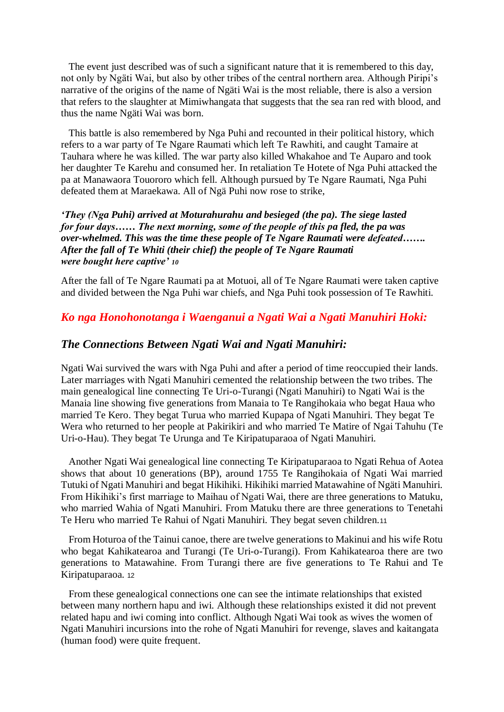The event just described was of such a significant nature that it is remembered to this day, not only by Ngäti Wai, but also by other tribes of the central northern area. Although Piripi's narrative of the origins of the name of Ngäti Wai is the most reliable, there is also a version that refers to the slaughter at Mimiwhangata that suggests that the sea ran red with blood, and thus the name Ngäti Wai was born.

 This battle is also remembered by Nga Puhi and recounted in their political history, which refers to a war party of Te Ngare Raumati which left Te Rawhiti, and caught Tamaire at Tauhara where he was killed. The war party also killed Whakahoe and Te Auparo and took her daughter Te Karehu and consumed her. In retaliation Te Hotete of Nga Puhi attacked the pa at Manawaora Touororo which fell. Although pursued by Te Ngare Raumati, Nga Puhi defeated them at Maraekawa. All of Ngä Puhi now rose to strike,

## *'They (Nga Puhi) arrived at Moturahurahu and besieged (the pa). The siege lasted for four days…… The next morning, some of the people of this pa fled, the pa was over-whelmed. This was the time these people of Te Ngare Raumati were defeated……. After the fall of Te Whiti (their chief) the people of Te Ngare Raumati were bought here captive' <sup>10</sup>*

After the fall of Te Ngare Raumati pa at Motuoi, all of Te Ngare Raumati were taken captive and divided between the Nga Puhi war chiefs, and Nga Puhi took possession of Te Rawhiti.

# *Ko nga Honohonotanga i Waenganui a Ngati Wai a Ngati Manuhiri Hoki:*

## *The Connections Between Ngati Wai and Ngati Manuhiri:*

Ngati Wai survived the wars with Nga Puhi and after a period of time reoccupied their lands. Later marriages with Ngati Manuhiri cemented the relationship between the two tribes. The main genealogical line connecting Te Uri-o-Turangi (Ngati Manuhiri) to Ngati Wai is the Manaia line showing five generations from Manaia to Te Rangihokaia who begat Haua who married Te Kero. They begat Turua who married Kupapa of Ngati Manuhiri. They begat Te Wera who returned to her people at Pakirikiri and who married Te Matire of Ngai Tahuhu (Te Uri-o-Hau). They begat Te Urunga and Te Kiripatuparaoa of Ngati Manuhiri.

 Another Ngati Wai genealogical line connecting Te Kiripatuparaoa to Ngati Rehua of Aotea shows that about 10 generations (BP), around 1755 Te Rangihokaia of Ngati Wai married Tutuki of Ngati Manuhiri and begat Hikihiki. Hikihiki married Matawahine of Ngäti Manuhiri. From Hikihiki's first marriage to Maihau of Ngati Wai, there are three generations to Matuku, who married Wahia of Ngati Manuhiri. From Matuku there are three generations to Tenetahi Te Heru who married Te Rahui of Ngati Manuhiri. They begat seven children.<sup>11</sup>

 From Hoturoa of the Tainui canoe, there are twelve generations to Makinui and his wife Rotu who begat Kahikatearoa and Turangi (Te Uri-o-Turangi). From Kahikatearoa there are two generations to Matawahine. From Turangi there are five generations to Te Rahui and Te Kiripatuparaoa. <sup>12</sup>

 From these genealogical connections one can see the intimate relationships that existed between many northern hapu and iwi. Although these relationships existed it did not prevent related hapu and iwi coming into conflict. Although Ngati Wai took as wives the women of Ngati Manuhiri incursions into the rohe of Ngati Manuhiri for revenge, slaves and kaitangata (human food) were quite frequent.